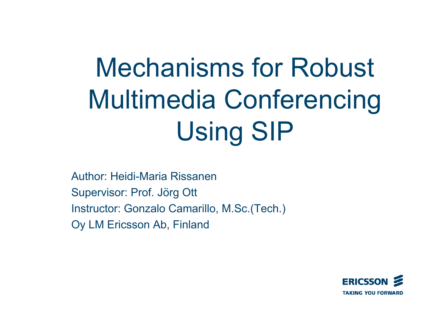# Mechanisms for Robust Multimedia Conferencing Using SIP

Author: Heidi-Maria Rissanen Supervisor: Prof. Jörg Ott Instructor: Gonzalo Camarillo, M.Sc.(Tech.) Oy LM Ericsson Ab, Finland

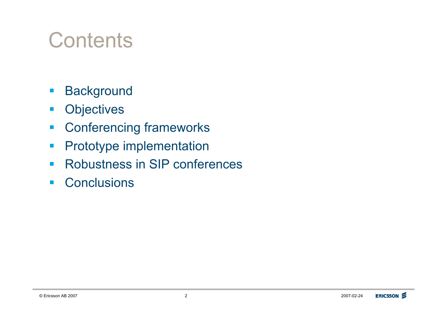#### **Contents**

- **Background**
- **•** Objectives
- **EXECONFERENCING FRAMEWORKS**
- **Prototype implementation**
- **Robustness in SIP conferences**
- **Conclusions**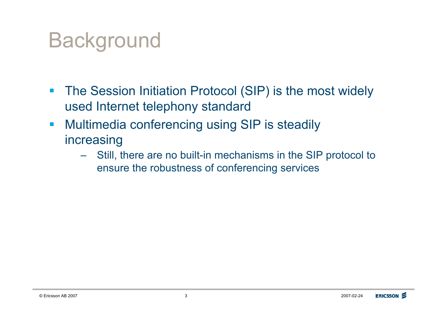#### Background

- **The Session Initiation Protocol (SIP) is the most widely** used Internet telephony standard
- **Multimedia conferencing using SIP is steadily** increasing
	- Still, there are no built-in mechanisms in the SIP protocol to ensure the robustness of conferencing services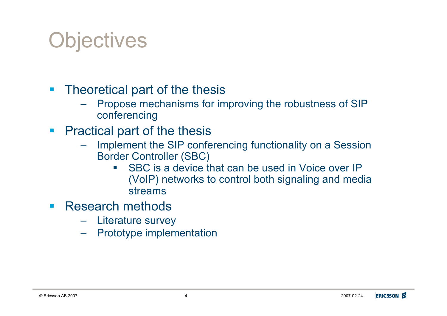#### **Objectives**

- **Theoretical part of the thesis** 
	- Propose mechanisms for improving the robustness of SIP conferencing
- **Practical part of the thesis** 
	- Implement the SIP conferencing functionality on a Session Border Controller (SBC)
		- **SBC** is a device that can be used in Voice over IP (VoIP) networks to control both signaling and media streams
- **Research methods** 
	- Literature survey
	- Prototype implementation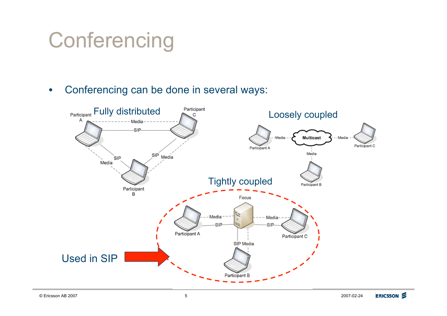# **Conferencing**

• Conferencing can be done in several ways:

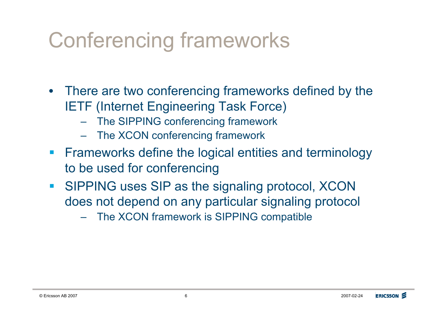# Conferencing frameworks

- There are two conferencing frameworks defined by the IETF (Internet Engineering Task Force)
	- The SIPPING conferencing framework
	- The XCON conferencing framework
- **Exameworks define the logical entities and terminology** to be used for conferencing
- **EXTERNEES IS INCOCO SISTEM SIGNAL IS SIPPING uses SIP as the signaling protocol, XCON** does not depend on any particular signaling protocol
	- The XCON framework is SIPPING compatible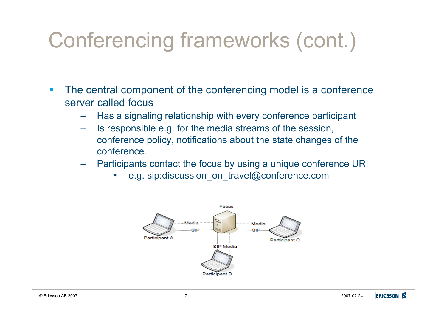# Conferencing frameworks (cont.)

- **The central component of the conferencing model is a conference** server called focus
	- Has a signaling relationship with every conference participant
	- Is responsible e.g. for the media streams of the session, conference policy, notifications about the state changes of the conference.
	- Participants contact the focus by using a unique conference URI
		- e.g. sip: discussion\_on\_travel@conference.com

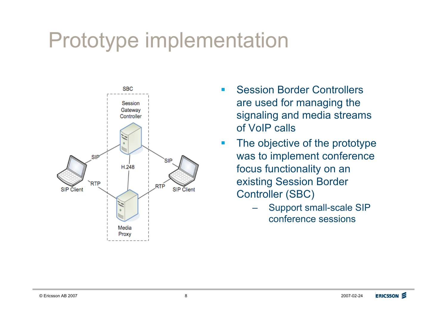#### Prototype implementation



- **E.** Session Border Controllers are used for managing the signaling and media streams of VoIP calls
- **The objective of the prototype** was to implement conference focus functionality on an existing Session Border Controller (SBC)
	- Support small-scale SIP conference sessions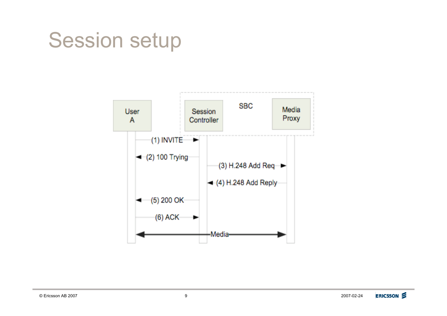#### Session setup

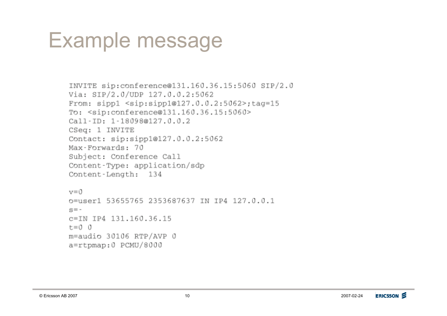#### Example message

```
INVITE sip: conference@131.160.36.15:5060 SIP/2.0
Via: SIP/2.0/UDP 127.0.0.2:5062
From: sipp1 <sip:sipp1@127.0.0.2:5062>;tag=15
To: <sip:conference@131.160.36.15:5060>
Call-ID: 1-18098@127.0.0.2
CSeq: 1 INVITE
Contact: sip:sipp1@127.0.0.2:5062
Max-Forwards: 70
Subject: Conference Call
Content-Type: application/sdp
Content-Length: 134
v=0o=user1 53655765 2353687637 IN IP4 127.0.0.1
s = -c=IN IP4 131.160.36.15
t=0 0
```

```
m=audio 30106 RTP/AVP 0
a=rtpmap:0 PCMU/8000
```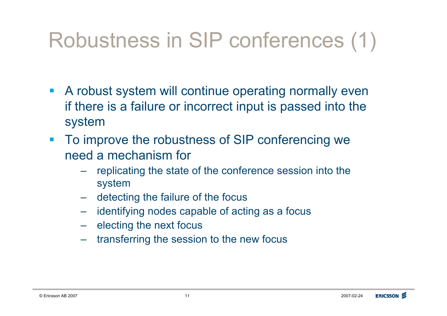# Robustness in SIP conferences (1)

- **A robust system will continue operating normally even** if there is a failure or incorrect input is passed into the system
- **To improve the robustness of SIP conferencing we** need a mechanism for
	- replicating the state of the conference session into the system
	- detecting the failure of the focus
	- identifying nodes capable of acting as a focus
	- electing the next focus
	- transferring the session to the new focus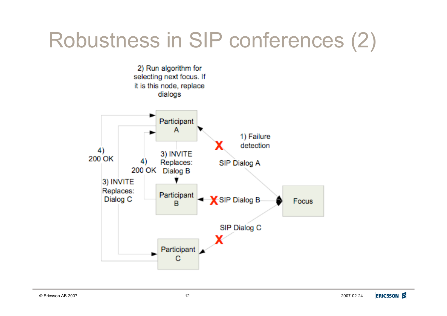# Robustness in SIP conferences (2)

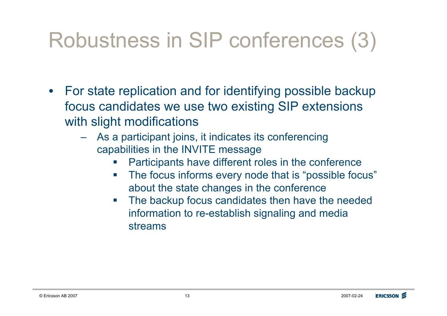# Robustness in SIP conferences (3)

- For state replication and for identifying possible backup focus candidates we use two existing SIP extensions with slight modifications
	- As a participant joins, it indicates its conferencing capabilities in the INVITE message
		- Participants have different roles in the conference
		- The focus informs every node that is "possible focus" about the state changes in the conference
		- **The backup focus candidates then have the needed** information to re-establish signaling and media streams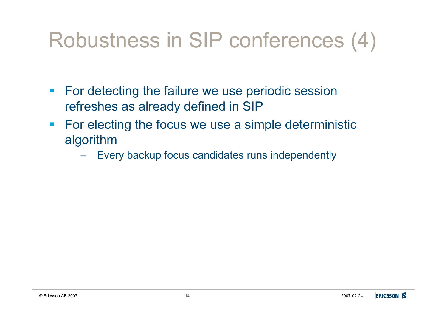# Robustness in SIP conferences (4)

- **For detecting the failure we use periodic session** refreshes as already defined in SIP
- **For electing the focus we use a simple deterministic** algorithm
	- Every backup focus candidates runs independently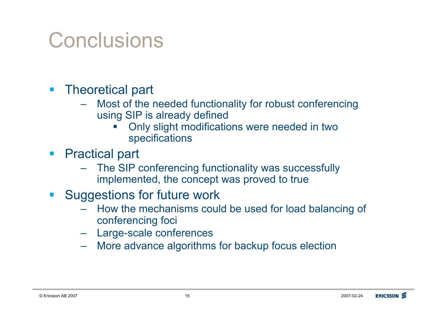#### **Conclusions**

- **Theoretical part** 
	- Most of the needed functionality for robust conferencing using SIP is already defined
		- ! Only slight modifications were needed in two specifications
- **Practical part** 
	- The SIP conferencing functionality was successfully implemented, the concept was proved to true
- **E.** Suggestions for future work
	- How the mechanisms could be used for load balancing of conferencing foci
	- Large-scale conferences
	- More advance algorithms for backup focus election